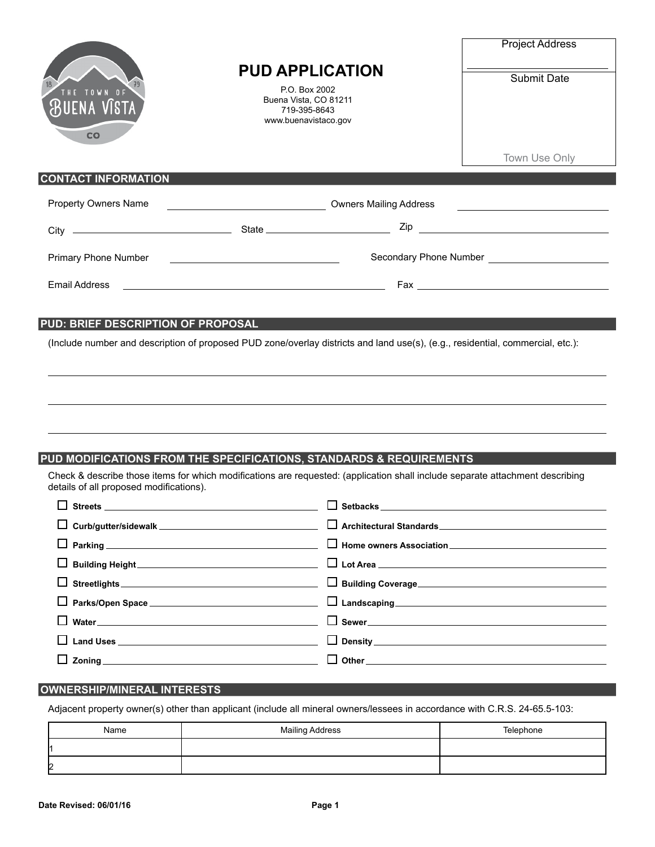|                                                                                                                                                                                                                                                | <b>PUD APPLICATION</b><br>P.O. Box 2002<br>Buena Vista, CO 81211<br>719-395-8643<br>www.buenavistaco.gov              |                                                                                                                               | <b>Project Address</b><br><b>Submit Date</b>                                   |  |
|------------------------------------------------------------------------------------------------------------------------------------------------------------------------------------------------------------------------------------------------|-----------------------------------------------------------------------------------------------------------------------|-------------------------------------------------------------------------------------------------------------------------------|--------------------------------------------------------------------------------|--|
| IUENA VISTA<br>CO                                                                                                                                                                                                                              |                                                                                                                       |                                                                                                                               |                                                                                |  |
|                                                                                                                                                                                                                                                |                                                                                                                       |                                                                                                                               | Town Use Only                                                                  |  |
| <b>CONTACT INFORMATION</b>                                                                                                                                                                                                                     |                                                                                                                       |                                                                                                                               |                                                                                |  |
| <b>Property Owners Name</b>                                                                                                                                                                                                                    | Downers Mailing Address Communication Communication Communication Communication Communication Communication Co        |                                                                                                                               |                                                                                |  |
|                                                                                                                                                                                                                                                |                                                                                                                       |                                                                                                                               |                                                                                |  |
| Primary Phone Number                                                                                                                                                                                                                           | <u> 1989 - Johann Barn, fransk politik (d. 1989)</u>                                                                  |                                                                                                                               |                                                                                |  |
| <b>Email Address</b>                                                                                                                                                                                                                           | <u> 1989 - Johann Barn, mars ann an t-Amhain Aonaich an t-Aonaich an t-Aonaich an t-Aonaich an t-Aonaich an t-Aon</u> |                                                                                                                               |                                                                                |  |
|                                                                                                                                                                                                                                                |                                                                                                                       |                                                                                                                               |                                                                                |  |
| PUD MODIFICATIONS FROM THE SPECIFICATIONS, STANDARDS & REQUIREMENTS                                                                                                                                                                            |                                                                                                                       | Check & describe those items for which modifications are requested: (application shall include separate attachment describing |                                                                                |  |
| details of all proposed modifications).                                                                                                                                                                                                        |                                                                                                                       |                                                                                                                               |                                                                                |  |
| $\blacksquare$<br><b>Streets</b>                                                                                                                                                                                                               |                                                                                                                       | $\Box$ Setbacks                                                                                                               |                                                                                |  |
| ப                                                                                                                                                                                                                                              |                                                                                                                       |                                                                                                                               | Architectural Standards<br><u>Data</u> Architectural Standards<br>2004<br>2005 |  |
| ப                                                                                                                                                                                                                                              |                                                                                                                       |                                                                                                                               |                                                                                |  |
| Building Height Management of the Contract of the Contract of the Contract of the Contract of the Contract of<br>$\overline{\phantom{a}}$                                                                                                      |                                                                                                                       |                                                                                                                               |                                                                                |  |
| $\overline{\phantom{a}}$                                                                                                                                                                                                                       |                                                                                                                       |                                                                                                                               |                                                                                |  |
| $\overline{\phantom{a}}$                                                                                                                                                                                                                       |                                                                                                                       |                                                                                                                               |                                                                                |  |
| $\mathsf{I}$<br>Water Management and the contract of the contract of the contract of the contract of the contract of the contract of the contract of the contract of the contract of the contract of the contract of the contract of the contr |                                                                                                                       |                                                                                                                               |                                                                                |  |
|                                                                                                                                                                                                                                                |                                                                                                                       |                                                                                                                               |                                                                                |  |
|                                                                                                                                                                                                                                                |                                                                                                                       |                                                                                                                               |                                                                                |  |

## **OWNERSHIP/MINERAL INTERESTS**

Adjacent property owner(s) other than applicant (include all mineral owners/lessees in accordance with C.R.S. 24-65.5-103:

| Name | <b>Mailing Address</b> | Telephone |
|------|------------------------|-----------|
|      |                        |           |
| 2    |                        |           |